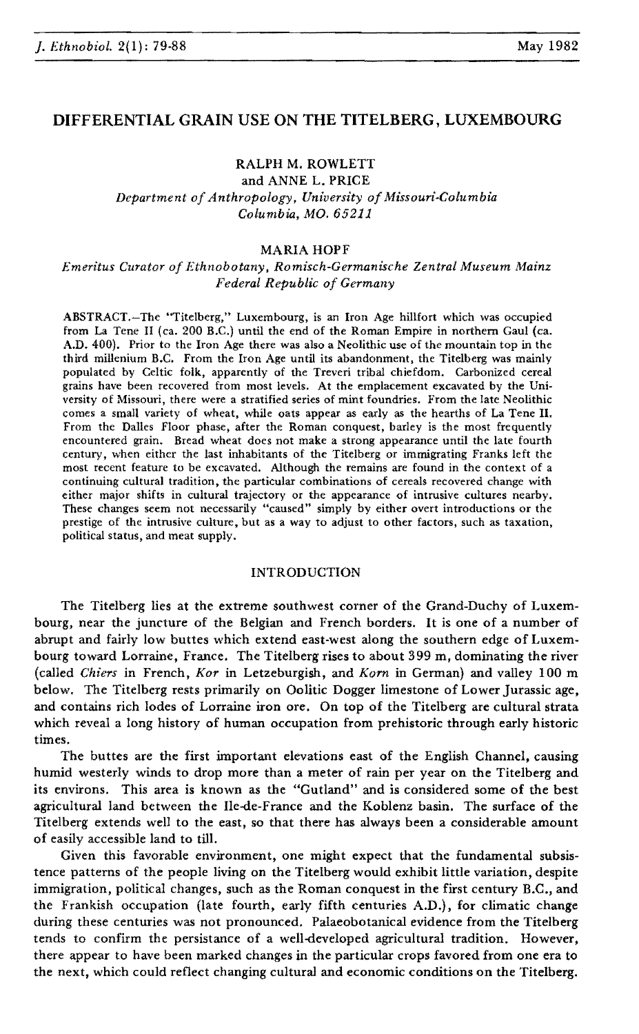# DIFFERENTIAL GRAIN USE ON THE TITELBERG, LUXEMBOURG

# RALPH M. ROWLETT

and ANNE L. PRICE *Department ofAnthropology, University ofMissouri-Columbia Columbia, MO. 65211*

### MARIA HOPF

*Emeritus Curator of Ethnobotany, Romisch-Germanische Zentral Museum Mainz Federal Republic of Germany*

ABSTRACT.-The "Titelberg," Luxembourg, is an Iron Age hillfort which was occupied from La Tene II (ca. 200 B.C.) until the end of the Roman Empire in northern Gaul (ca. A.D. 400). Prior to the Iron Age there was also a Neolithic use of the mountain top in the third millenium B.C. From the Iron Age until its abandonment, the Titelberg was mainly populated by Celtic folk, apparently of the Treveri tribal chiefdom. Carbonized cereal grains have been recovered from most levels. At the emplacement excavated by the University of Missouri, there were a stratified series of mint foundries. From the late Neolithic comes a small variety of wheat, while oats appear as early as the hearths of La Tene II. From the Dalles Floor phase, after the Roman conquest, barley is the most frequently encountered grain. Bread wheat does not make a strong appearance until the late fourth century, when either the last inhabitants of the Titelberg or immigrating Franks left the most recent feature to be excavated. Although the remains are found in the context of a continuing cultural tradition, the particular combinations of cereals recovered change with either major shifts in cultural trajectory or the appearance of intrusive cultures nearby. These changes seem not necessarily "caused" simply by either overt introductions or the prestige of the intrusive culture, but as a way to adjust to other factors, such as taxation, political status, and meat supply.

#### INTRODUCTION

The Titelberg lies at the extreme southwest corner of the Grand-Duchy of Luxembourg, near the juncture of the Belgian and French borders. It is one of a number of abrupt and fairly low buttes which extend east-west along the southern edge of Luxembourg toward Lorraine, France. The Titelberg rises to about 399 m, dominating the river (called *Chiers* in French, *Kor* in Letzeburgish, and *Korn* in German) and valley 100 m below. The Titelberg rests primarily on Oolitic Dogger limestone of Lower Jurassic age, and contains rich lodes of Lorraine iron ore. On top of the Titelberg are cultural strata which reveal a long history of human occupation from prehistoric through early historic times.

The buttes are the first important elevations east of the English Channel, causing humid westerly winds to drop more than a meter of rain per year on the Titelberg and its environs. This area is known as the "Gutland" and is considered some of the best agricultural land between the Ile-de-France and the Koblenz basin. The surface of the Titelberg extends well to the east, so that there has always been a considerable amount of easily accessible land to till.

Given this favorable environment, one might expect that the fundamental subsistence patterns of the people living on the Titelberg would exhibit little variation, despite immigration, political changes, such as the Roman conquest in the first century B.C., and the Frankish occupation (late fourth, early fifth centuries A.D.), for climatic change during these centuries was not pronounced. Palaeobotanical evidence from the Titelberg tends to confirm the persistance of a well-developed agricultural tradition. However, there appear to have been marked changes in the particular crops favored from one era to the next, which could reflect changing cultural and economic conditions on the Titelberg.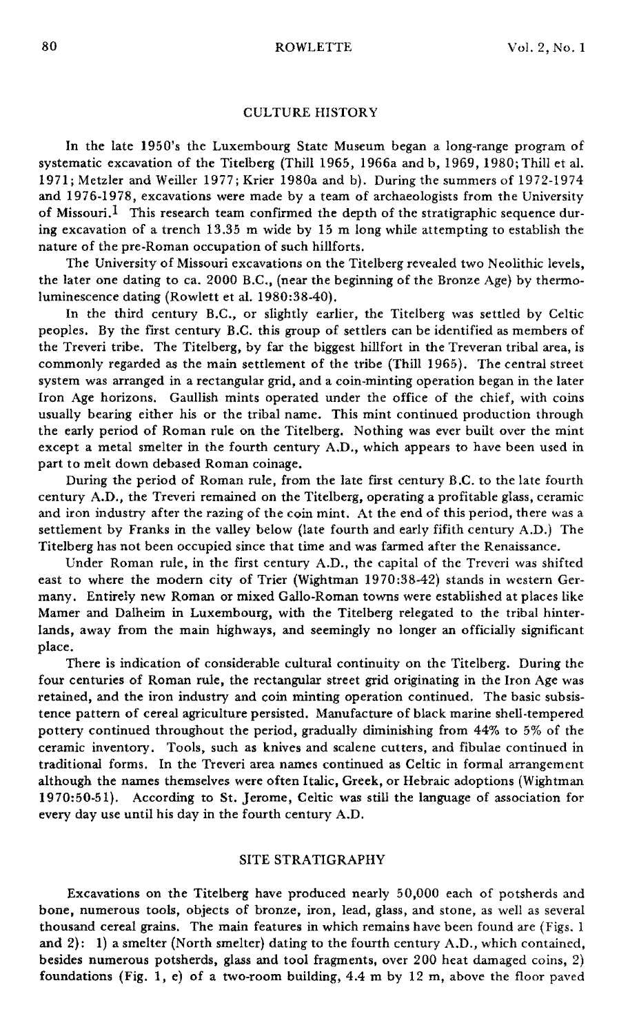# CULTURE HISTORY

In the late 1950's the Luxembourg State Museum began a long-range program of systematic excavation of the Titelberg (Thill 1965, 1966a and b, 1969, 1980; Thill et al. 1971; Metzler and Weiller 1977; Krier 1980a and b). During the summers of 1972-1974 and 1976-1978, excavations were made by a team of archaeologists from the University of Missouri.<sup>1</sup> This research team confirmed the depth of the stratigraphic sequence during excavation of a trench 13.35 m wide by 15 m long while attempting to establish the nature of the pre-Roman occupation of such hillforts.

The University of Missouri excavations on the Titelberg revealed two Neolithic levels, the later one dating to ca. 2000 B.C., (near the beginning of the Bronze Age) by thermoluminescence dating (Rowlett et al. 1980:38-40).

In the third century B.C., or slightly earlier, the Titelberg was settled by Celtic peoples. By the first century B.C. this group of settlers can be identified as members of the Treveri tribe. The Titelberg, by far the biggest hillfort in the Treveran tribal area, is commonly regarded as the main settlement of the tribe (Thill 1965). The central street system was arranged in a rectangular grid, and a coin-minting operation began in the later Iron Age horizons. Gaullish mints operated under the office of the chief, with coins usually bearing either his or the tribal name. This mint continued production through the early period of Roman rule on the Titelberg. Nothing was ever built over the mint except a metal smelter in the fourth century A.D., which appears to have been used in part to melt down debased Roman coinage.

During the period of Roman rule, from the late first century B.C. to the late fourth century A.D., the Treveri remained on the Titelberg, operating a profitable glass, ceramic and iron industry after the razing of the coin mint. At the end of this period, there was a settlement by Franks in the valley below (late fourth and early fifith century A.D.) The Titelberg has not been occupied since that time and was farmed after the Renaissance.

Under Roman rule, in the first century A.D., the capital of the Treveri was shifted east to where the modern city of Trier (Wightman 1970:38-42) stands in western Germany. Entirely new Roman or mixed Gallo-Roman towns were established at places like Mamer and Dalheim in Luxembourg, with the Titelberg relegated to the tribal hinterlands, away from the main highways, and seemingly no longer an officially significant place.

There is indication of considerable cultural continuity on the Titelberg. During the four centuries of Roman rule, the rectangular street grid originating in the Iron Age was retained, and the iron industry and coin minting operation continued. The basic subsistence pattern of cereal agriculture persisted. Manufacture of black marine shell-tempered pottery continued throughout the period, gradually diminishing from 44% to 5% of the ceramic inventory. Tools, such as knives and scalene cutters, and fibulae continued in traditional forms. In the Treveri area names continued as Celtic in formal arrangement although the names themselves were often Italic, Greek, or Hebraic adoptions (Wightman 1970:50-51). According to St. Jerome, Celtic was still the language of association for every day use until his day in the fourth century A.D.

### SITE STRATIGRAPHY

Excavations on the Titelberg have produced nearly 50,000 each of potsherds and bone, numerous tools, objects of bronze, iron, lead, glass, and stone, as well as several thousand cereal grains. The main features in which remains have been found are (Figs. 1 and  $2$ : 1) a smelter (North smelter) dating to the fourth century  $A.D.,$  which contained, besides numerous potsherds, glass and tool fragments, over 200 heat damaged coins, 2) foundations (Fig. 1, e) of a two-room building,  $4.4 \text{ m}$  by  $12 \text{ m}$ , above the floor paved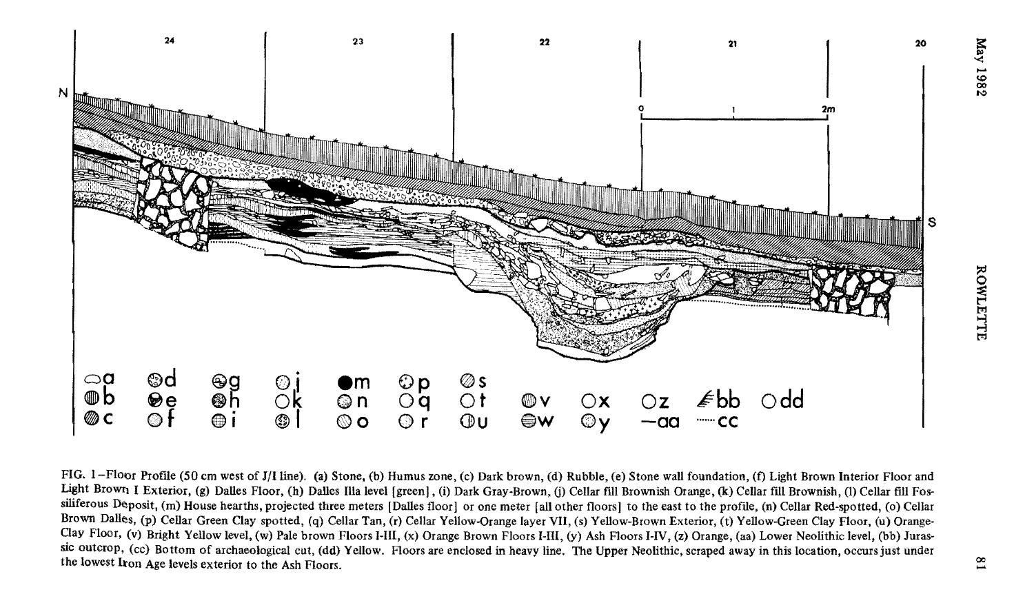

FIG. 1-Floor Profile (50 cm west of J/I line). (a) Stone, (b) Humus zone, (c) Dark brown, (d) Rubble, (e) Stone wall foundation, (f) Light Brown Interior Floor and Light Brown I Exterior, (g) Dalles Floor, (h) Dalles Illa level [green], (i) Dark Gray-Brown, (j) Cellar fill Brownish Orange, (k) Cellar fill Brownish, (l) Cellar fill Fossiliferous Deposit, (m) House hearths, projected three meters [Dalles floor] or one meter [all other floors] to the east to the profile, (n) Cellar Red-spotted, (o) Cellar Brown Dalles, (p) Cellar Green Clay spotted, (q) Cellar Tan, (r) Cellar Yellow-Orange layer VII, (s) Yellow-Brown Exterior, (t) Yellow-Green Clay Floor, (u) Orange-Oay Floor, (v) Bright Yellow level, (w) Pale brown Floors I-Ill, (x) Orange Brown Floors I-III, (y) Ash Floors HV, (z) Orange, (aa) Lower Neolithic level, (bb) Jurassic outcrop, (cc) Bottom of archaeological cut, (dd) Yellow. Floors are enclosed in heavy line. The Upper Neolithic, scraped away in this location, occurs just under the lowest Iron Age levels exterior to the Ash Floors.

**1982**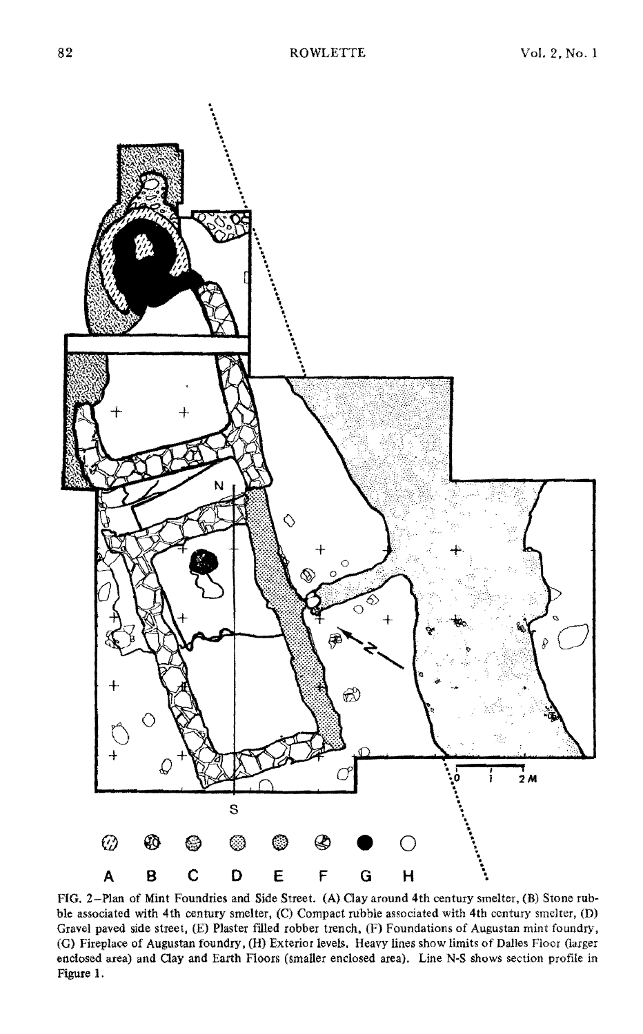

FIG. 2-Plan of Mint Foundries and Side Street. (A) Oay around 4th century smelter, (B) Stone rubble associated with 4th century smelter, (C) Compact rubble associated with 4th century smelter, (D) Gravel paved side street, (E) Plaster filled robber trench, (F) Foundations of Augustan mint foundry, (G) Fireplace of Augustan foundry, (H) Exterior levels. Heavy lines show limits of Dalles Floor (larger enclosed area) and Oay and Earth Floors (smaller enclosed area). Line N-S shows section profile in Figure 1.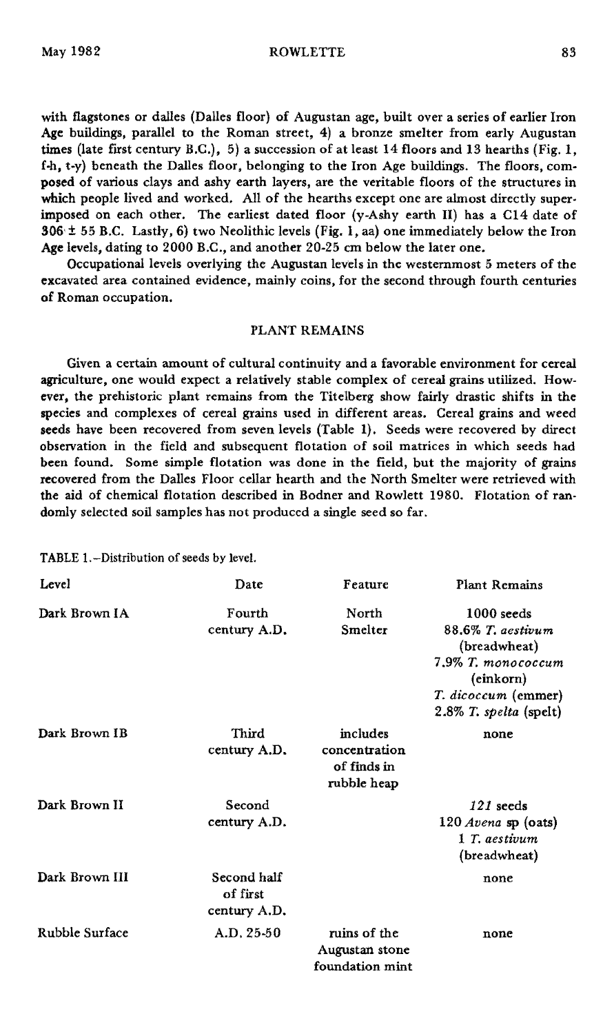#### May 1982 ROWLETTE 83

with flagstones or dalles (Dalles floor) of Augustan age, built over a series of earlier Iron Age buildings, parallel to the Roman street, 4) a bronze smelter from early Augustan times (late first century B.C.), 5) a succession of at least 14 floors and 13 hearths (Fig. 1,  $f-h$ ,  $t-y$ ) beneath the Dalles floor, belonging to the Iron Age buildings. The floors, composed of various days and ashy earth layers, are the veritable floors of the structures in which people lived and worked. All of the hearths except one are almost directly superimposed on each other. The earliest dated floor (y-Ashy earth II) has a CI4 date of  $306· ± 55 B.C.$  Lastly, 6) two Neolithic levels (Fig. 1, aa) one immediately below the Iron Age levels, dating to 2000 B.C., and another 20-25 cm below the later one.

Occupational levels overlying the Augustan levels in the westernmost 5 meters of the excavated area contained evidence, mainly coins, for the second through fourth centuries of Roman occupation.

# PLANT REMAINS

Given a certain amount of cultural continuity and a favorable environment for cereal agriculture, one would expect a relatively stable complex of cereal grains utilized. However, the prehistoric plant remains from the Titelberg show fairly drastic shifts in the species and complexes of cereal grains used in different areas. Cereal grains and weed seeds have been recovered from seven levels (Table 1). Seeds were recovered by direct observation in the field and subsequent flotation of soil matrices in which seeds had been found. Some simple flotation was done in the field, but the majority of grains recovered from the Dalles Floor cellar hearth and the North Smelter were retrieved with the aid of chemical flotation described in Bodner and Rowlett 1980. Flotation of ran· domiy selected soil samples has not produced a single seed so far.

TABLE 1.-Distribution of seeds by level.

| Level          | Date                                    | Feature                                                 | <b>Plant Remains</b>                                                                                                                  |
|----------------|-----------------------------------------|---------------------------------------------------------|---------------------------------------------------------------------------------------------------------------------------------------|
| Dark Brown IA  | Fourth<br>century A.D.                  | North<br>Smelter                                        | $1000$ seeds<br>88.6% T. aestivum<br>(breadwheat)<br>7.9% T. monococcum<br>(einkorn)<br>T. dicoccum (emmer)<br>2.8% T. spelta (spelt) |
| Dark Brown IB  | Third<br>century A.D.                   | includes<br>concentration<br>of finds in<br>rubble heap | none                                                                                                                                  |
| Dark Brown II  | Second<br>century A.D.                  |                                                         | $121$ seeds<br>120 Avena sp (oats)<br>1 T. aestivum<br>(breadwheat)                                                                   |
| Dark Brown III | Second half<br>of first<br>century A.D. |                                                         | none                                                                                                                                  |
| Rubble Surface | $A.D. 25-50$                            | ruins of the<br>Augustan stone<br>foundation mint       | none                                                                                                                                  |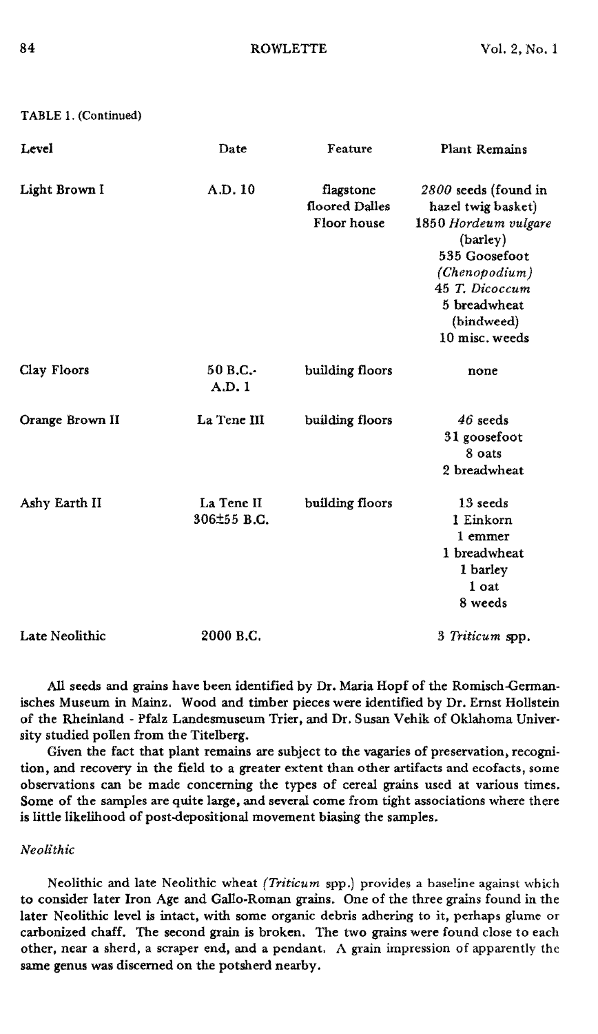| Level           | Date                      | Feature                                    | Plant Remains                                                                                                                                                                      |
|-----------------|---------------------------|--------------------------------------------|------------------------------------------------------------------------------------------------------------------------------------------------------------------------------------|
| Light Brown I   | A.D. 10                   | flagstone<br>floored Dalles<br>Floor house | 2800 seeds (found in<br>hazel twig basket)<br>1850 Hordeum vulgare<br>(barley)<br>535 Goosefoot<br>(Chenopodium)<br>45 T. Dicoccum<br>5 breadwheat<br>(bindweed)<br>10 misc. weeds |
| Clay Floors     | 50B.C.<br>A.D.1           | building floors                            | none                                                                                                                                                                               |
| Orange Brown II | La Tene III               | building floors                            | $46$ seeds<br>31 goosefoot<br>8 oats<br>2 breadwheat                                                                                                                               |
| Ashy Earth II   | La Tene II<br>306±55 B.C. | building floors                            | 13 seeds<br>1 Einkorn<br>1 emmer<br>1 breadwheat<br>1 barley<br>1 oat<br>8 weeds                                                                                                   |
| Late Neolithic  | 2000 B.C.                 |                                            | 3 Triticum spp.                                                                                                                                                                    |

All seeds and grains have been identified by Dr. Maria Hopf of the Romisch-Gennanisches Museum in Mainz. Wood and timber pieces were identified by Dr. Ernst Hollstein of the Rheinland - Pfalz Landesmuseum Trier, and Dr. Susan Vehik of Oklahoma University studied pollen from the Titelberg.

Given the fact that plant remains are subject to the vagaries of preservation, recogni. tion, and recovery in the field to a greater extent than other artifacts and ecofacts, some observations can be made concerning the types of cereal grains used at various times. Some of the samples are quite large, and several come from tight associations where there is little likelihood of post-depositional movement biasing the samples.

### *Neolithic*

Neolithic and late Neolithic wheat *(Triticum* spp.) provides a baseline against which to consider later Iron Age and Gallo-Roman grains. One of the three grains found in the later Neolithic level is intact, with some organic debris adhering to it, perhaps glume or carbonized chaff. The second grain is broken. The two grains were found close to each other, near a sherd, a scraper end, and a pendant. A grain impression of apparently the same genus was discerned on the potsherd nearby.

TABLE 1. (Continued)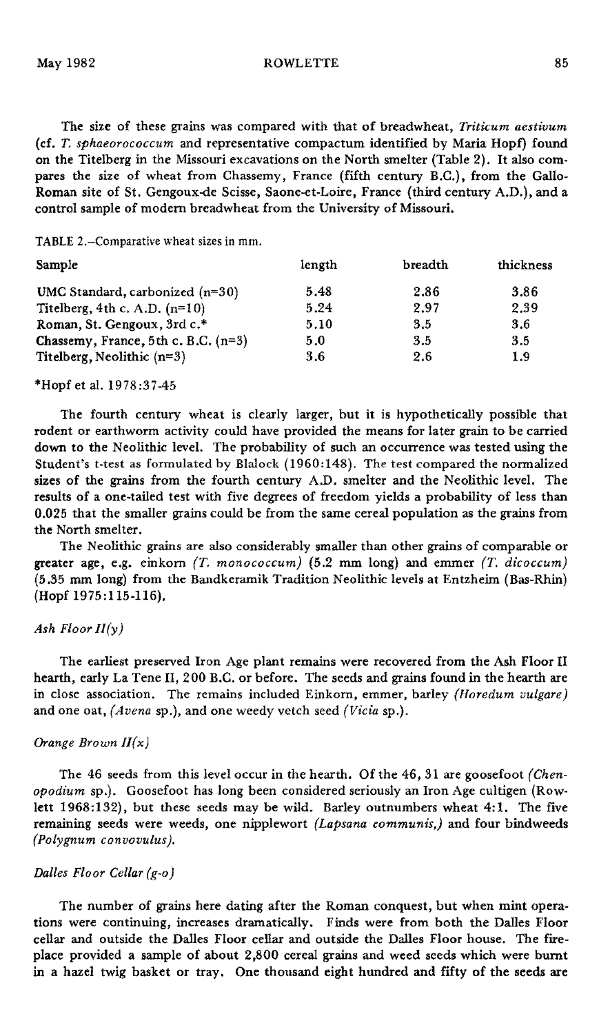May 1982 ROWLETTE 85

The size of these grains was compared with that of breadwheat, *Triticum aestivum* (d. *T. sphaeorococcum* and representative compactum identified by Maria Hopf) found on the Titelberg in the Missouri excavations on the North smelter (Table 2). It also compares the size of wheat from Chassemy, France (fifth century B.C.), from the Gallo-Roman site of St. Gengoux-de Scisse, Saone-et-Loire, France (third century A.D.), and a control sample of modem breadwheat from the University of Missouri.

TABLE 2.-Comparative wheat sizes in mm.

| length | breadth | thickness |
|--------|---------|-----------|
| 5.48   | 2.86    | 3.86      |
| 5.24   | 2.97    | 2.39      |
| 5.10   | 3.5     | 3.6       |
| 5.0    | 3.5     | 3.5       |
| 3.6    | 2.6     | 1.9       |
|        |         |           |

\*Hopf et al. 1978:37-45

The fourth century wheat is clearly larger, but it is hypothetically possible that rodent or earthworm activity could have provided the means for later grain to be carried down to the Neolithic level. The probability of such an occurrence was tested using the Student's t-test as formulated by Blalock (1960:148). The test compared the normalized sizes of the grains from the fourth century A.D. smelter and the Neolithic level. The results of a one-tailed test with five degrees of freedom yields a probability of less than 0.025 that the smaller grains could be from the same cereal population as the grains from the North smelter.

The Neolithic grains are also considerably smaller than other grains of comparable or greater age, e.g. einkom *(T. monococcum)* (5.2 mm long) and emmer *(T. dicoccum)* (5.35 mm long) from the Bandkeramik Tradition Neolithic levels at Entzheim (Bas-Rhin) (Hopf 1975:115-116).

### *Ash Floor I/(y)*

The earliest preserved Iron Age plant remains were recovered from the Ash Floor II hearth, early La Tene II, 200 B.C. or before. The seeds and grains found in the hearth are in close association. The remains included Einkom, emmer, barley *(lforedum vulgare)* and one oat, *(Avena* sp.), and one weedy vetch seed *(Vicia* sp.).

### *Orange Brown I/(x)*

The 46 seeds from this level occur in the hearth. Of the 46, 31 are goosefoot *(Chenopodium* sp.). Goosefoot has long been considered seriously an Iron Age cultigen (Rowlett 1968:132), but these seeds may be wild. Barley outnumbers wheat 4:1. The five remaining seeds were weeds, one nipplewort *(Lapsana communis,)* and four bindweeds *(Polygnum convovulus).*

# *Dalles Floor Cellar (g-o)*

The number of grains here dating after the Roman conquest, but when mint operations were continuing, increases dramatically. Finds were from both the Dalles Floor cellar and outside the Dalles Floor cellar and outside the Dalles Floor house. The fireplace provided a sample of about 2,800 cereal grains and weed seeds which were burnt in a hazel twig basket or tray. One thousand eight hundred and fifty of the seeds are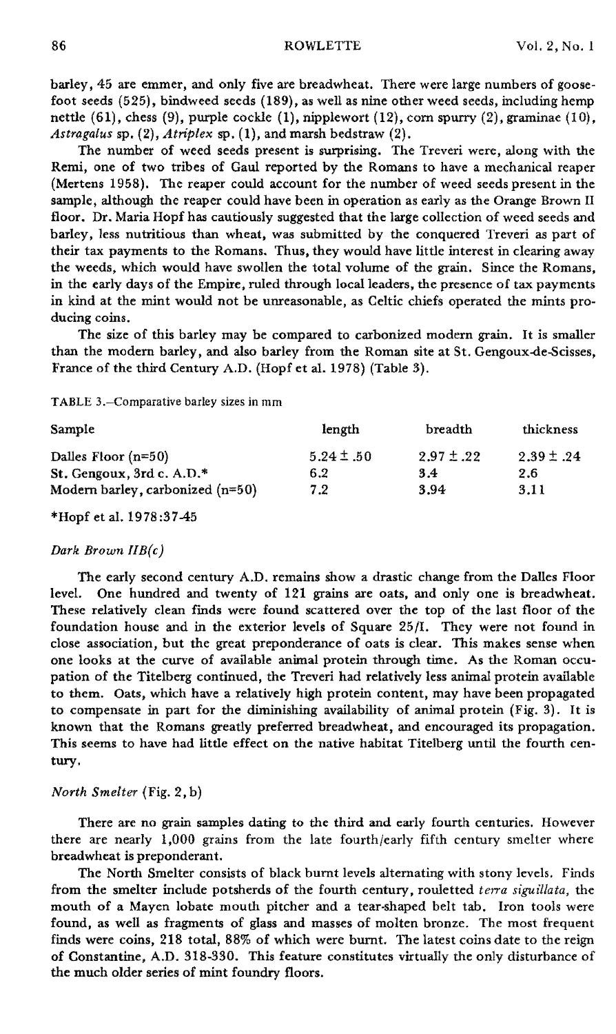barley, 45 are emmer, and only five are breadwheat. There were large numbers of goosefoot seeds (525), bindweed seeds (189), as well as nine other weed seeds, including hemp nettle (61), chess (9), purple cockle (1), nipplewort (12), corn spurry (2), graminae (10), *Astragalus* sp. (2), *A triplex* sp. (1), and marsh bedstraw (2).

The number of weed seeds present is surprising. The Treveri were, along with the Remi, one of two tribes of Gaul reported by the Romans to have a mechanical reaper (Mertens 1958). The reaper could account for the number of weed seeds present in the sample, although the reaper could have been in operation as early as the Orange Brown II floor. Dr. Maria Hopf has cautiously suggested that the large collection of weed seeds and barley, less nutritious than wheat, was submitted by the conquered Treveri as part of their tax payments to the Romans. Thus, they would have little interest in clearing away the weeds, which would have swollen the total volume of the grain. Since the Romans, in the early days of the Empire, ruled through local leaders, the presence of tax payments in kind at the mint would not be unreasonable, as Celtic chiefs operated the mints producing coins.

The size of this barley may be compared to carbonized modern grain. It is smaller than the modern barley, and also barley from the Roman site at St. Gengoux-de-8cisses, France of the third Century A.D. (Hopf et al. 1978) (Table 3).

TABLE 3.-Comparative barley sizes in mm

| Sample                             | length         | breadth        | thickness      |
|------------------------------------|----------------|----------------|----------------|
| Dalles Floor $(n=50)$              | $5.24 \pm .50$ | $2.97 \pm .22$ | $2.39 \pm .24$ |
| St. Gengoux, 3rd c. $A.D.*$        | 6.2            | 3.4            | 2.6            |
| Modern barley, carbonized $(n=50)$ | 7.2            | 3.94           | 3.11           |

\*Hopf et al. 1978:37-45

#### *Dark Brown llB(e)*

The early second century A.D. remains show a drastic change from the Dalles Floor level. One hundred and twenty of 121 grains are oats, and only one is breadwheat. These relatively clean finds were found scattered over the top of the last floor of the foundation house and in the exterior levels of Square 25/1. They were not found in close association, but the great preponderance of oats is dear. This makes sense when one looks at the curve of available animal protein through time. As the Roman occupation of the Titelberg continued, the Treveri had relatively less animal protein available to them. Oats, which have a relatively high protein content, may have been propagated to compensate in part for the diminishing availability of animal protein (Fig. 3). It is known that the Romans greatly preferred breadwheat, and encouraged its propagation. This seems to have had little effect on the native habitat Titelberg until the fourth century.

### *North Smelter* (Fig. 2, b)

There are no grain samples dating to the third and early fourth centuries. However there are nearly 1,000 grains from the late fourth/early fifth century smelter where breadwheat is preponderant.

The North Smelter consists of black burnt levels alternating with stony levels. Finds from the smelter include potsherds of the fourth century, rouletted *terra siguillata,* the mouth of a Mayen lobate mouth pitcher and a tear-shaped belt tab. Iron tools were found, as well as fragments of glass and masses of molten bronze. The most frequent finds were coins, 218 total, 88% of which were burnt. The latest coins date to the reign of Constantine, A.D. 318-330. This feature constitutes virtually the only disturbance of the much older series of mint foundry floors.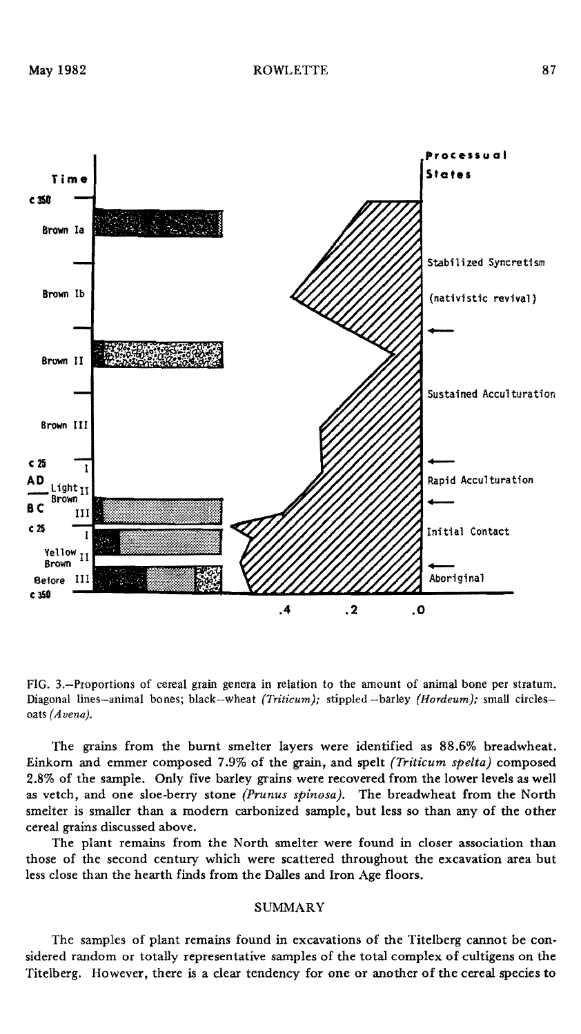

FIG. 3.-Proportions of cereal grain genera in relation to the amount of animal bone per stratum. Diagonal lines-animal bones; black-wheat *(Triticum);* stippled -barley *(Hordeum);* small circlesoats *(Avena).*

The grains from the burnt smelter layers were identified as 88.6% breadwheat. Einkorn and emmer composed 7.9% of the grain, and spelt *(Triticum spelta)* composed 2.8% of the sample. Only five barley grains were recovered from the lower levels as well as vetch, and one sloe-berry stone *(Prunus spinosa).* The breadwheat from the North smelter is smaller than a modern carbonized sample, but less so than any of the other cereal grains discussed above.

The plant remains from the North smelter were found in closer association than those of the second century which were scattered throughout the excavation area but less close than the hearth finds from the Dalles and Iron Age floors.

# SUMMARY

The samples of plant remains found in excavations of the Titelberg cannot be considered random or totally representative samples of the total complex of cultigens on the Titelberg. However, there is a clear tendency for one or another of the cereal species to